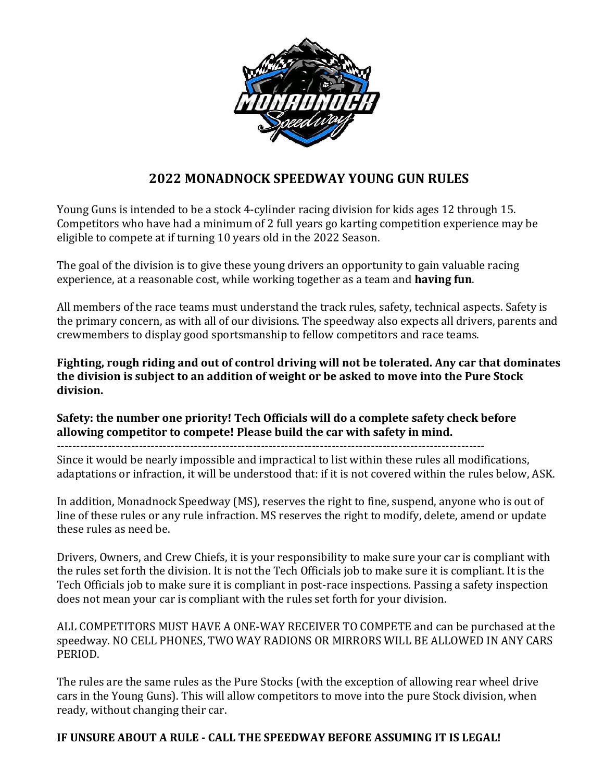

# **2022 MONADNOCK SPEEDWAY YOUNG GUN RULES**

Young Guns is intended to be a stock 4-cylinder racing division for kids ages 12 through 15. Competitors who have had a minimum of 2 full years go karting competition experience may be eligible to compete at if turning 10 years old in the 2022 Season.

The goal of the division is to give these young drivers an opportunity to gain valuable racing experience, at a reasonable cost, while working together as a team and **having fun**.

All members of the race teams must understand the track rules, safety, technical aspects. Safety is the primary concern, as with all of our divisions. The speedway also expects all drivers, parents and crewmembers to display good sportsmanship to fellow competitors and race teams.

**Fighting, rough riding and out of control driving will not be tolerated. Any car that dominates the division is subject to an addition of weight or be asked to move into the Pure Stock division.** 

**Safety: the number one priority! Tech Officials will do a complete safety check before allowing competitor to compete! Please build the car with safety in mind.**

-------------------------------------------------------------------------------------------------------------

Since it would be nearly impossible and impractical to list within these rules all modifications, adaptations or infraction, it will be understood that: if it is not covered within the rules below, ASK.

In addition, Monadnock Speedway (MS), reserves the right to fine, suspend, anyone who is out of line of these rules or any rule infraction. MS reserves the right to modify, delete, amend or update these rules as need be.

Drivers, Owners, and Crew Chiefs, it is your responsibility to make sure your car is compliant with the rules set forth the division. It is not the Tech Officials job to make sure it is compliant. It is the Tech Officials job to make sure it is compliant in post-race inspections. Passing a safety inspection does not mean your car is compliant with the rules set forth for your division.

ALL COMPETITORS MUST HAVE A ONE-WAY RECEIVER TO COMPETE and can be purchased at the speedway. NO CELL PHONES, TWO WAY RADIONS OR MIRRORS WILL BE ALLOWED IN ANY CARS PERIOD.

The rules are the same rules as the Pure Stocks (with the exception of allowing rear wheel drive cars in the Young Guns). This will allow competitors to move into the pure Stock division, when ready, without changing their car.

# **IF UNSURE ABOUT A RULE - CALL THE SPEEDWAY BEFORE ASSUMING IT IS LEGAL!**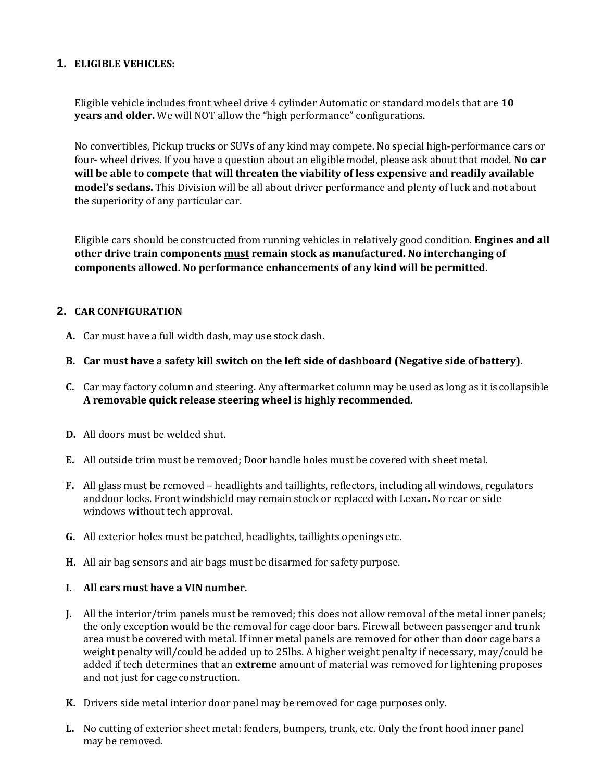#### **1. ELIGIBLE VEHICLES:**

Eligible vehicle includes front wheel drive 4 cylinder Automatic or standard models that are **10 years and older.** We will NOT allow the "high performance" configurations.

No convertibles, Pickup trucks or SUVs of any kind may compete. No special high-performance cars or four- wheel drives. If you have a question about an eligible model, please ask about that model. **No car will be able to compete that will threaten the viability of less expensive and readily available model's sedans.** This Division will be all about driver performance and plenty of luck and not about the superiority of any particular car.

Eligible cars should be constructed from running vehicles in relatively good condition. **Engines and all other drive train components must remain stock as manufactured. No interchanging of components allowed. No performance enhancements of any kind will be permitted.**

### **2. CAR CONFIGURATION**

- **A.** Car must have a full width dash, may use stock dash.
- **B. Car must have a safety kill switch on the left side of dashboard (Negative side ofbattery).**
- **C.** Car may factory column and steering. Any aftermarket column may be used as long as it is collapsible **A removable quick release steering wheel is highly recommended.**
- **D.** All doors must be welded shut.
- **E.** All outside trim must be removed; Door handle holes must be covered with sheet metal.
- **F.** All glass must be removed headlights and taillights, reflectors, including all windows, regulators anddoor locks. Front windshield may remain stock or replaced with Lexan**.** No rear or side windows without tech approval.
- **G.** All exterior holes must be patched, headlights, taillights openings etc.
- **H.** All air bag sensors and air bags must be disarmed for safety purpose.

#### **I. All cars must have a VIN number.**

- **J.** All the interior/trim panels must be removed; this does not allow removal of the metal inner panels; the only exception would be the removal for cage door bars. Firewall between passenger and trunk area must be covered with metal. If inner metal panels are removed for other than door cage bars a weight penalty will/could be added up to 25lbs. A higher weight penalty if necessary, may/could be added if tech determines that an **extreme** amount of material was removed for lightening proposes and not just for cage construction.
- **K.** Drivers side metal interior door panel may be removed for cage purposes only.
- **L.** No cutting of exterior sheet metal: fenders, bumpers, trunk, etc. Only the front hood inner panel may be removed.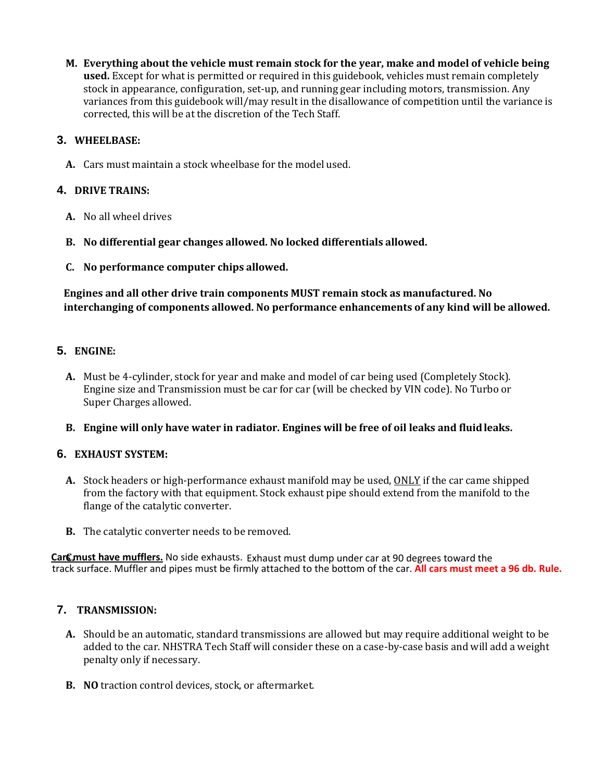**M. Everything about the vehicle must remain stock for the year, make and model of vehicle being used.** Except for what is permitted or required in this guidebook, vehicles must remain completely stock in appearance, configuration, set-up, and running gear including motors, transmission. Any variances from this guidebook will/may result in the disallowance of competition until the variance is corrected, this will be at the discretion of the Tech Staff.

### **3. WHEELBASE:**

**A.** Cars must maintain a stock wheelbase for the model used.

### **4. DRIVE TRAINS:**

- **A.** No all wheel drives
- **B. No differential gear changes allowed. No locked differentials allowed.**
- **C. No performance computer chips allowed.**

**Engines and all other drive train components MUST remain stock as manufactured. No interchanging of components allowed. No performance enhancements of any kind will be allowed.**

### **5. ENGINE:**

**A.** Must be 4-cylinder, stock for year and make and model of car being used (Completely Stock). Engine size and Transmission must be car for car (will be checked by VIN code). No Turbo or Super Charges allowed.

#### **B. Engine will only have water in radiator. Engines will be free of oil leaks and fluidleaks.**

### **6. EXHAUST SYSTEM:**

- **A.** Stock headers or high-performance exhaust manifold may be used, ONLY if the car came shipped from the factory with that equipment. Stock exhaust pipe should extend from the manifold to the flange of the catalytic converter.
- **B.** The catalytic converter needs to be removed.

track surface. Muffler and pipes must be firmly attached to the bottom of the car. **All cars must meet a 96 db. Rule. Cars must have mufflers.** No side exhausts. Exhaust must dump under car at 90 degrees toward the **C.** 

#### **7. TRANSMISSION:**

- **A.** Should be an automatic, standard transmissions are allowed but may require additional weight to be added to the car. NHSTRA Tech Staff will consider these on a case-by-case basis and will add a weight penalty only if necessary.
- **B. NO** traction control devices, stock, or aftermarket.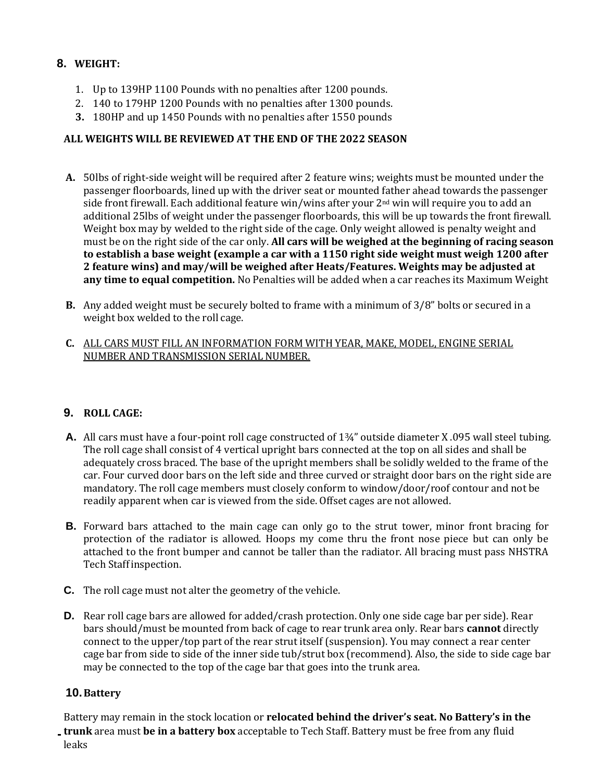# **8. WEIGHT:**

- 1. Up to 139HP 1100 Pounds with no penalties after 1200 pounds.
- 2. 140 to 179HP 1200 Pounds with no penalties after 1300 pounds.
- **3.** 180HP and up 1450 Pounds with no penalties after 1550 pounds

### **ALL WEIGHTS WILL BE REVIEWED AT THE END OF THE 2022 SEASON**

- **A.** 50lbs of right-side weight will be required after 2 feature wins; weights must be mounted under the passenger floorboards, lined up with the driver seat or mounted father ahead towards the passenger side front firewall. Each additional feature win/wins after your 2<sup>nd</sup> win will require you to add an additional 25lbs of weight under the passenger floorboards, this will be up towards the front firewall. Weight box may by welded to the right side of the cage. Only weight allowed is penalty weight and must be on the right side of the car only. **All cars will be weighed at the beginning of racing season to establish a base weight (example a car with a 1150 right side weight must weigh 1200 after 2 feature wins) and may/will be weighed after Heats/Features. Weights may be adjusted at any time to equal competition.** No Penalties will be added when a car reaches its Maximum Weight
- **B.** Any added weight must be securely bolted to frame with a minimum of 3/8" bolts or secured in a weight box welded to the roll cage.

#### **C.** ALL CARS MUST FILL AN INFORMATION FORM WITH YEAR, MAKE, MODEL, ENGINE SERIAL NUMBER AND TRANSMISSION SERIAL NUMBER.

### **9. ROLL CAGE:**

- **A.** All cars must have a four-point roll cage constructed of 1¾" outside diameter X .095 wall steel tubing. The roll cage shall consist of 4 vertical upright bars connected at the top on all sides and shall be adequately cross braced. The base of the upright members shall be solidly welded to the frame of the car. Four curved door bars on the left side and three curved or straight door bars on the right side are mandatory. The roll cage members must closely conform to window/door/roof contour and not be readily apparent when car is viewed from the side. Offset cages are not allowed.
- **B.** Forward bars attached to the main cage can only go to the strut tower, minor front bracing for protection of the radiator is allowed. Hoops my come thru the front nose piece but can only be attached to the front bumper and cannot be taller than the radiator. All bracing must pass NHSTRA Tech Staffinspection.
- **C.** The roll cage must not alter the geometry of the vehicle.
- **D.** Rear roll cage bars are allowed for added/crash protection. Only one side cage bar per side). Rear bars should/must be mounted from back of cage to rear trunk area only. Rear bars **cannot** directly connect to the upper/top part of the rear strut itself (suspension). You may connect a rear center cage bar from side to side of the inner side tub/strut box (recommend). Also, the side to side cage bar may be connected to the top of the cage bar that goes into the trunk area.

### **10.Battery**

Battery may remain in the stock location or **relocated behind the driver's seat. No Battery's in the trunk** area must **be in a battery box** acceptable to Tech Staff. Battery must be free from any fluid leaks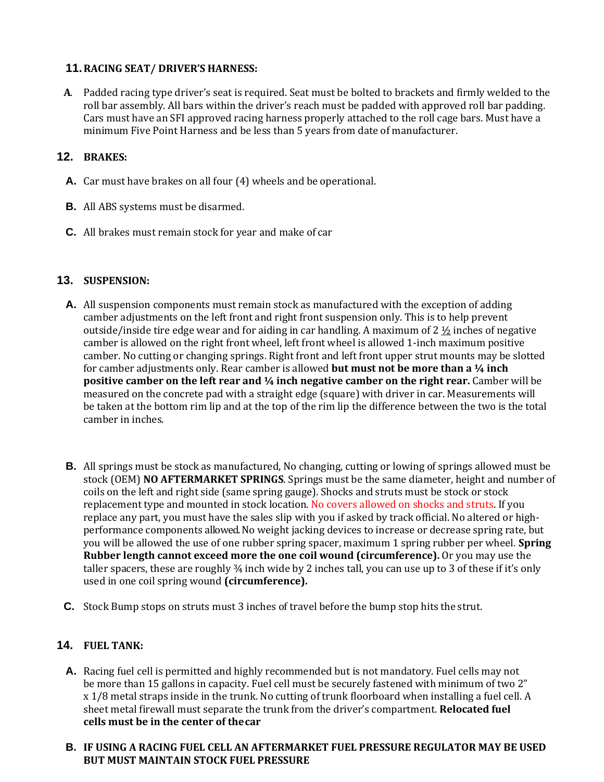### **11.RACING SEAT/ DRIVER'S HARNESS:**

**A**. Padded racing type driver's seat is required. Seat must be bolted to brackets and firmly welded to the roll bar assembly. All bars within the driver's reach must be padded with approved roll bar padding. Cars must have an SFI approved racing harness properly attached to the roll cage bars. Must have a minimum Five Point Harness and be less than 5 years from date of manufacturer.

# **12. BRAKES:**

- **A.** Car must have brakes on all four (4) wheels and be operational.
- **B.** All ABS systems must be disarmed.
- **C.** All brakes must remain stock for year and make of car

### **13. SUSPENSION:**

- **A.** All suspension components must remain stock as manufactured with the exception of adding camber adjustments on the left front and right front suspension only. This is to help prevent outside/inside tire edge wear and for aiding in car handling. A maximum of  $2 \frac{1}{2}$  inches of negative camber is allowed on the right front wheel, left front wheel is allowed 1-inch maximum positive camber. No cutting or changing springs. Right front and left front upper strut mounts may be slotted for camber adjustments only. Rear camber is allowed **but must not be more than a ¼ inch positive camber on the left rear and**  $\frac{1}{4}$  **inch negative camber on the right rear.** Camber will be measured on the concrete pad with a straight edge (square) with driver in car. Measurements will be taken at the bottom rim lip and at the top of the rim lip the difference between the two is the total camber in inches.
- **B.** All springs must be stock as manufactured, No changing, cutting or lowing of springs allowed must be stock (OEM) **NO AFTERMARKET SPRINGS**. Springs must be the same diameter, height and number of coils on the left and right side (same spring gauge). Shocks and struts must be stock or stock replacement type and mounted in stock location. No covers allowed on shocks and struts. If you replace any part, you must have the sales slip with you if asked by track official. No altered or highperformance components allowed. No weight jacking devices to increase or decrease spring rate, but you will be allowed the use of one rubber spring spacer, maximum 1 spring rubber per wheel. **Spring Rubber length cannot exceed more the one coil wound (circumference).** Or you may use the taller spacers, these are roughly ¾ inch wide by 2 inches tall, you can use up to 3 of these if it's only used in one coil spring wound **(circumference).**
- **C.** Stock Bump stops on struts must 3 inches of travel before the bump stop hits the strut.

### **14. FUEL TANK:**

- **A.** Racing fuel cell is permitted and highly recommended but is not mandatory. Fuel cells may not be more than 15 gallons in capacity. Fuel cell must be securely fastened with minimum of two 2" x 1/8 metal straps inside in the trunk. No cutting of trunk floorboard when installing a fuel cell. A sheet metal firewall must separate the trunk from the driver's compartment. **Relocated fuel cells must be in the center of thecar**
- **B. IF USING A RACING FUEL CELL AN AFTERMARKET FUEL PRESSURE REGULATOR MAY BE USED BUT MUST MAINTAIN STOCK FUEL PRESSURE**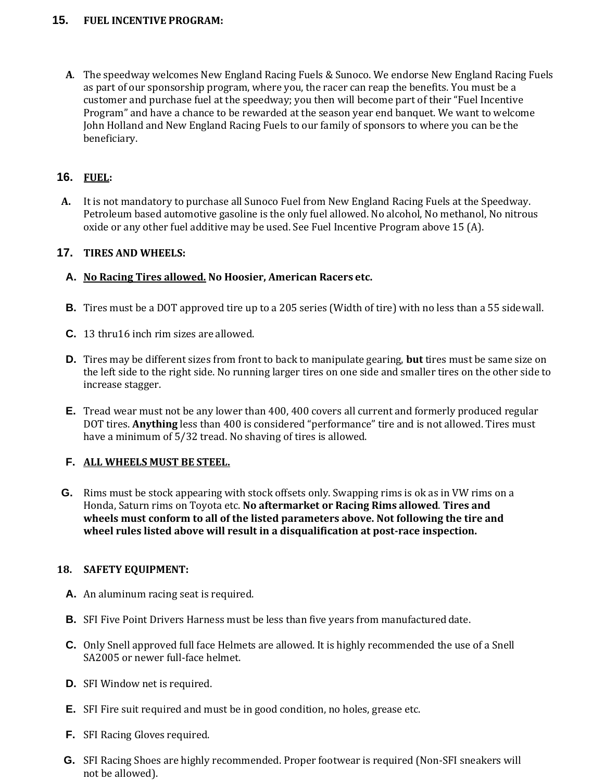### **15. FUEL INCENTIVE PROGRAM:**

**A**. The speedway welcomes New England Racing Fuels & Sunoco. We endorse New England Racing Fuels as part of our sponsorship program, where you, the racer can reap the benefits. You must be a customer and purchase fuel at the speedway; you then will become part of their "Fuel Incentive Program" and have a chance to be rewarded at the season year end banquet. We want to welcome John Holland and New England Racing Fuels to our family of sponsors to where you can be the beneficiary.

### **16. FUEL:**

**A.** It is not mandatory to purchase all Sunoco Fuel from New England Racing Fuels at the Speedway. Petroleum based automotive gasoline is the only fuel allowed. No alcohol, No methanol, No nitrous oxide or any other fuel additive may be used. See Fuel Incentive Program above 15 (A).

### **17. TIRES AND WHEELS:**

### **A. No Racing Tires allowed. No Hoosier, American Racers etc.**

- **B.** Tires must be a DOT approved tire up to a 205 series (Width of tire) with no less than a 55 sidewall.
- **C.** 13 thru16 inch rim sizes are allowed.
- **D.** Tires may be different sizes from front to back to manipulate gearing, **but** tires must be same size on the left side to the right side. No running larger tires on one side and smaller tires on the other side to increase stagger.
- **E.** Tread wear must not be any lower than 400, 400 covers all current and formerly produced regular DOT tires. **Anything** less than 400 is considered "performance" tire and is not allowed. Tires must have a minimum of 5/32 tread. No shaving of tires is allowed.

#### **F. ALL WHEELS MUST BE STEEL.**

**G.** Rims must be stock appearing with stock offsets only. Swapping rims is ok as in VW rims on a Honda, Saturn rims on Toyota etc. **No aftermarket or Racing Rims allowed**. **Tires and wheels must conform to all of the listed parameters above. Not following the tire and wheel rules listed above will result in a disqualification at post-race inspection.**

#### **18. SAFETY EQUIPMENT:**

- **A.** An aluminum racing seat is required.
- **B.** SFI Five Point Drivers Harness must be less than five years from manufactured date.
- **C.** Only Snell approved full face Helmets are allowed. It is highly recommended the use of a Snell SA2005 or newer full-face helmet.
- **D.** SFI Window net is required.
- **E.** SFI Fire suit required and must be in good condition, no holes, grease etc.
- **F.** SFI Racing Gloves required.
- **G.** SFI Racing Shoes are highly recommended. Proper footwear is required (Non-SFI sneakers will not be allowed).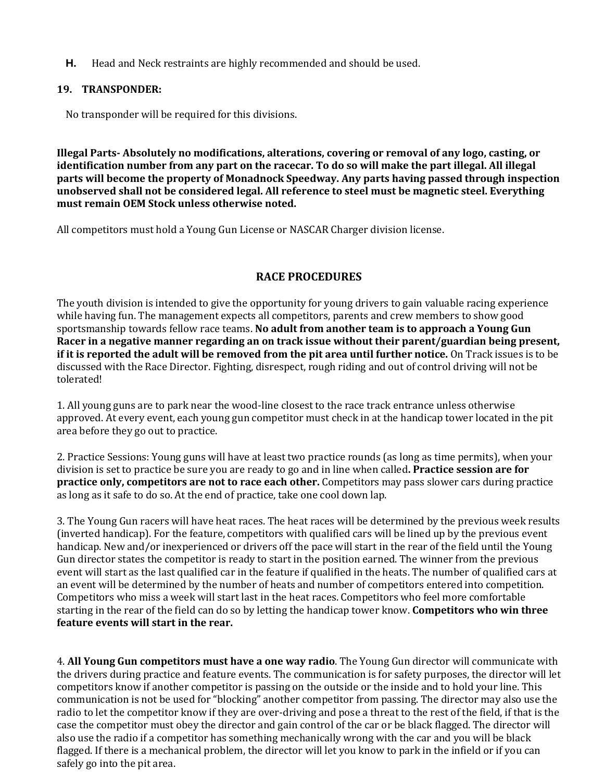**H.** Head and Neck restraints are highly recommended and should be used.

### **19. TRANSPONDER:**

No transponder will be required for this divisions.

**Illegal Parts- Absolutely no modifications, alterations, covering or removal of any logo, casting, or identification number from any part on the racecar. To do so will make the part illegal. All illegal parts will become the property of Monadnock Speedway. Any parts having passed through inspection unobserved shall not be considered legal. All reference to steel must be magnetic steel. Everything must remain OEM Stock unless otherwise noted.** 

All competitors must hold a Young Gun License or NASCAR Charger division license.

# **RACE PROCEDURES**

The youth division is intended to give the opportunity for young drivers to gain valuable racing experience while having fun. The management expects all competitors, parents and crew members to show good sportsmanship towards fellow race teams. **No adult from another team is to approach a Young Gun Racer in a negative manner regarding an on track issue without their parent/guardian being present, if it is reported the adult will be removed from the pit area until further notice.** On Track issues is to be discussed with the Race Director. Fighting, disrespect, rough riding and out of control driving will not be tolerated!

1. All young guns are to park near the wood-line closest to the race track entrance unless otherwise approved. At every event, each young gun competitor must check in at the handicap tower located in the pit area before they go out to practice.

2. Practice Sessions: Young guns will have at least two practice rounds (as long as time permits), when your division is set to practice be sure you are ready to go and in line when called**. Practice session are for practice only, competitors are not to race each other.** Competitors may pass slower cars during practice as long as it safe to do so. At the end of practice, take one cool down lap.

3. The Young Gun racers will have heat races. The heat races will be determined by the previous week results (inverted handicap). For the feature, competitors with qualified cars will be lined up by the previous event handicap. New and/or inexperienced or drivers off the pace will start in the rear of the field until the Young Gun director states the competitor is ready to start in the position earned. The winner from the previous event will start as the last qualified car in the feature if qualified in the heats. The number of qualified cars at an event will be determined by the number of heats and number of competitors entered into competition. Competitors who miss a week will start last in the heat races. Competitors who feel more comfortable starting in the rear of the field can do so by letting the handicap tower know. **Competitors who win three feature events will start in the rear.** 

4. **All Young Gun competitors must have a one way radio**. The Young Gun director will communicate with the drivers during practice and feature events. The communication is for safety purposes, the director will let competitors know if another competitor is passing on the outside or the inside and to hold your line. This communication is not be used for "blocking" another competitor from passing. The director may also use the radio to let the competitor know if they are over-driving and pose a threat to the rest of the field, if that is the case the competitor must obey the director and gain control of the car or be black flagged. The director will also use the radio if a competitor has something mechanically wrong with the car and you will be black flagged. If there is a mechanical problem, the director will let you know to park in the infield or if you can safely go into the pit area.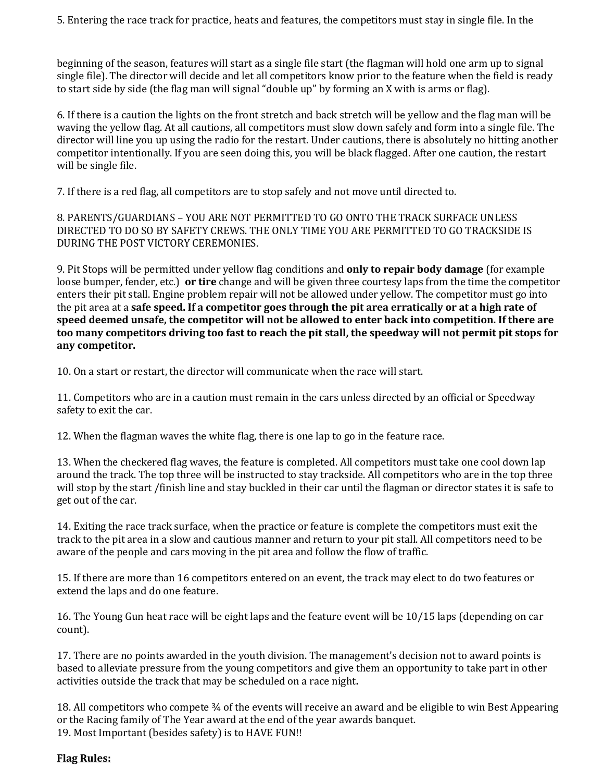5. Entering the race track for practice, heats and features, the competitors must stay in single file. In the

beginning of the season, features will start as a single file start (the flagman will hold one arm up to signal single file). The director will decide and let all competitors know prior to the feature when the field is ready to start side by side (the flag man will signal "double up" by forming an X with is arms or flag).

6. If there is a caution the lights on the front stretch and back stretch will be yellow and the flag man will be waving the yellow flag. At all cautions, all competitors must slow down safely and form into a single file. The director will line you up using the radio for the restart. Under cautions, there is absolutely no hitting another competitor intentionally. If you are seen doing this, you will be black flagged. After one caution, the restart will be single file.

7. If there is a red flag, all competitors are to stop safely and not move until directed to.

8. PARENTS/GUARDIANS – YOU ARE NOT PERMITTED TO GO ONTO THE TRACK SURFACE UNLESS DIRECTED TO DO SO BY SAFETY CREWS. THE ONLY TIME YOU ARE PERMITTED TO GO TRACKSIDE IS DURING THE POST VICTORY CEREMONIES.

9. Pit Stops will be permitted under yellow flag conditions and **only to repair body damage** (for example loose bumper, fender, etc.) **or tire** change and will be given three courtesy laps from the time the competitor enters their pit stall. Engine problem repair will not be allowed under yellow. The competitor must go into the pit area at a **safe speed. If a competitor goes through the pit area erratically or at a high rate of speed deemed unsafe, the competitor will not be allowed to enter back into competition. If there are too many competitors driving too fast to reach the pit stall, the speedway will not permit pit stops for any competitor.** 

10. On a start or restart, the director will communicate when the race will start.

11. Competitors who are in a caution must remain in the cars unless directed by an official or Speedway safety to exit the car.

12. When the flagman waves the white flag, there is one lap to go in the feature race.

13. When the checkered flag waves, the feature is completed. All competitors must take one cool down lap around the track. The top three will be instructed to stay trackside. All competitors who are in the top three will stop by the start /finish line and stay buckled in their car until the flagman or director states it is safe to get out of the car.

14. Exiting the race track surface, when the practice or feature is complete the competitors must exit the track to the pit area in a slow and cautious manner and return to your pit stall. All competitors need to be aware of the people and cars moving in the pit area and follow the flow of traffic.

15. If there are more than 16 competitors entered on an event, the track may elect to do two features or extend the laps and do one feature.

16. The Young Gun heat race will be eight laps and the feature event will be 10/15 laps (depending on car count).

17. There are no points awarded in the youth division. The management's decision not to award points is based to alleviate pressure from the young competitors and give them an opportunity to take part in other activities outside the track that may be scheduled on a race night**.** 

18. All competitors who compete ¾ of the events will receive an award and be eligible to win Best Appearing or the Racing family of The Year award at the end of the year awards banquet. 19. Most Important (besides safety) is to HAVE FUN!!

#### **Flag Rules:**